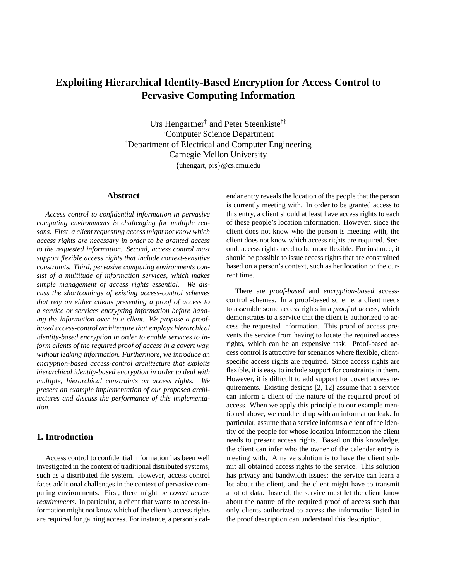# **Exploiting Hierarchical Identity-Based Encryption for Access Control to Pervasive Computing Information**

Urs Hengartner<sup>†</sup> and Peter Steenkiste<sup>†‡</sup> †Computer Science Department ‡Department of Electrical and Computer Engineering Carnegie Mellon University {uhengart, prs}@cs.cmu.edu

#### **Abstract**

*Access control to confidential information in pervasive computing environments is challenging for multiple reasons: First, a client requesting access might not know which access rights are necessary in order to be granted access to the requested information. Second, access control must support flexible access rights that include context-sensitive constraints. Third, pervasive computing environments consist of a multitude of information services, which makes simple management of access rights essential. We discuss the shortcomings of existing access-control schemes that rely on either clients presenting a proof of access to a service or services encrypting information before handing the information over to a client. We propose a proofbased access-control architecture that employs hierarchical identity-based encryption in order to enable services to inform clients of the required proof of access in a covert way, without leaking information. Furthermore, we introduce an encryption-based access-control architecture that exploits hierarchical identity-based encryption in order to deal with multiple, hierarchical constraints on access rights. We present an example implementation of our proposed architectures and discuss the performance of this implementation.*

# **1. Introduction**

Access control to confidential information has been well investigated in the context of traditional distributed systems, such as a distributed file system. However, access control faces additional challenges in the context of pervasive computing environments. First, there might be *covert access requirements*. In particular, a client that wants to access information might not know which of the client's access rights are required for gaining access. For instance, a person's calendar entry reveals the location of the people that the person is currently meeting with. In order to be granted access to this entry, a client should at least have access rights to each of these people's location information. However, since the client does not know who the person is meeting with, the client does not know which access rights are required. Second, access rights need to be more flexible. For instance, it should be possible to issue access rights that are constrained based on a person's context, such as her location or the current time.

There are *proof-based* and *encryption-based* accesscontrol schemes. In a proof-based scheme, a client needs to assemble some access rights in a *proof of access*, which demonstrates to a service that the client is authorized to access the requested information. This proof of access prevents the service from having to locate the required access rights, which can be an expensive task. Proof-based access control is attractive for scenarios where flexible, clientspecific access rights are required. Since access rights are flexible, it is easy to include support for constraints in them. However, it is difficult to add support for covert access requirements. Existing designs [2, 12] assume that a service can inform a client of the nature of the required proof of access. When we apply this principle to our example mentioned above, we could end up with an information leak. In particular, assume that a service informs a client of the identity of the people for whose location information the client needs to present access rights. Based on this knowledge, the client can infer who the owner of the calendar entry is meeting with. A naïve solution is to have the client submit all obtained access rights to the service. This solution has privacy and bandwidth issues: the service can learn a lot about the client, and the client might have to transmit a lot of data. Instead, the service must let the client know about the nature of the required proof of access such that only clients authorized to access the information listed in the proof description can understand this description.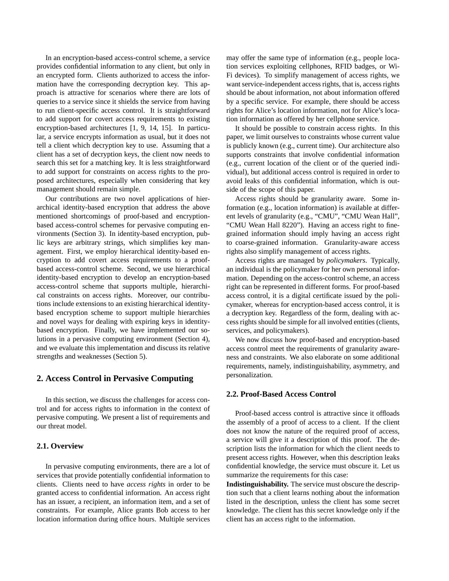In an encryption-based access-control scheme, a service provides confidential information to any client, but only in an encrypted form. Clients authorized to access the information have the corresponding decryption key. This approach is attractive for scenarios where there are lots of queries to a service since it shields the service from having to run client-specific access control. It is straightforward to add support for covert access requirements to existing encryption-based architectures [1, 9, 14, 15]. In particular, a service encrypts information as usual, but it does not tell a client which decryption key to use. Assuming that a client has a set of decryption keys, the client now needs to search this set for a matching key. It is less straightforward to add support for constraints on access rights to the proposed architectures, especially when considering that key management should remain simple.

Our contributions are two novel applications of hierarchical identity-based encryption that address the above mentioned shortcomings of proof-based and encryptionbased access-control schemes for pervasive computing environments (Section 3). In identity-based encryption, public keys are arbitrary strings, which simplifies key management. First, we employ hierarchical identity-based encryption to add covert access requirements to a proofbased access-control scheme. Second, we use hierarchical identity-based encryption to develop an encryption-based access-control scheme that supports multiple, hierarchical constraints on access rights. Moreover, our contributions include extensions to an existing hierarchical identitybased encryption scheme to support multiple hierarchies and novel ways for dealing with expiring keys in identitybased encryption. Finally, we have implemented our solutions in a pervasive computing environment (Section 4), and we evaluate this implementation and discuss its relative strengths and weaknesses (Section 5).

# **2. Access Control in Pervasive Computing**

In this section, we discuss the challenges for access control and for access rights to information in the context of pervasive computing. We present a list of requirements and our threat model.

# **2.1. Overview**

In pervasive computing environments, there are a lot of services that provide potentially confidential information to clients. Clients need to have *access rights* in order to be granted access to confidential information. An access right has an issuer, a recipient, an information item, and a set of constraints. For example, Alice grants Bob access to her location information during office hours. Multiple services

may offer the same type of information (e.g., people location services exploiting cellphones, RFID badges, or Wi-Fi devices). To simplify management of access rights, we want service-independent access rights, that is, access rights should be about information, not about information offered by a specific service. For example, there should be access rights for Alice's location information, not for Alice's location information as offered by her cellphone service.

It should be possible to constrain access rights. In this paper, we limit ourselves to constraints whose current value is publicly known (e.g., current time). Our architecture also supports constraints that involve confidential information (e.g., current location of the client or of the queried individual), but additional access control is required in order to avoid leaks of this confidential information, which is outside of the scope of this paper.

Access rights should be granularity aware. Some information (e.g., location information) is available at different levels of granularity (e.g., "CMU", "CMU Wean Hall", "CMU Wean Hall 8220"). Having an access right to finegrained information should imply having an access right to coarse-grained information. Granularity-aware access rights also simplify management of access rights.

Access rights are managed by *policymakers*. Typically, an individual is the policymaker for her own personal information. Depending on the access-control scheme, an access right can be represented in different forms. For proof-based access control, it is a digital certificate issued by the policymaker, whereas for encryption-based access control, it is a decryption key. Regardless of the form, dealing with access rights should be simple for all involved entities (clients, services, and policymakers).

We now discuss how proof-based and encryption-based access control meet the requirements of granularity awareness and constraints. We also elaborate on some additional requirements, namely, indistinguishability, asymmetry, and personalization.

#### **2.2. Proof-Based Access Control**

Proof-based access control is attractive since it offloads the assembly of a proof of access to a client. If the client does not know the nature of the required proof of access, a service will give it a description of this proof. The description lists the information for which the client needs to present access rights. However, when this description leaks confidential knowledge, the service must obscure it. Let us summarize the requirements for this case:

**Indistinguishability.** The service must obscure the description such that a client learns nothing about the information listed in the description, unless the client has some secret knowledge. The client has this secret knowledge only if the client has an access right to the information.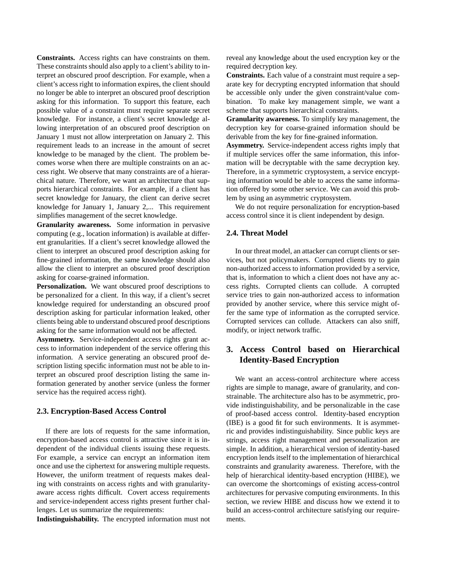**Constraints.** Access rights can have constraints on them. These constraints should also apply to a client's ability to interpret an obscured proof description. For example, when a client's access right to information expires, the client should no longer be able to interpret an obscured proof description asking for this information. To support this feature, each possible value of a constraint must require separate secret knowledge. For instance, a client's secret knowledge allowing interpretation of an obscured proof description on January 1 must not allow interpretation on January 2. This requirement leads to an increase in the amount of secret knowledge to be managed by the client. The problem becomes worse when there are multiple constraints on an access right. We observe that many constraints are of a hierarchical nature. Therefore, we want an architecture that supports hierarchical constraints. For example, if a client has secret knowledge for January, the client can derive secret knowledge for January 1, January 2,... This requirement simplifies management of the secret knowledge.

**Granularity awareness.** Some information in pervasive computing (e.g., location information) is available at different granularities. If a client's secret knowledge allowed the client to interpret an obscured proof description asking for fine-grained information, the same knowledge should also allow the client to interpret an obscured proof description asking for coarse-grained information.

**Personalization.** We want obscured proof descriptions to be personalized for a client. In this way, if a client's secret knowledge required for understanding an obscured proof description asking for particular information leaked, other clients being able to understand obscured proof descriptions asking for the same information would not be affected.

**Asymmetry.** Service-independent access rights grant access to information independent of the service offering this information. A service generating an obscured proof description listing specific information must not be able to interpret an obscured proof description listing the same information generated by another service (unless the former service has the required access right).

### **2.3. Encryption-Based Access Control**

If there are lots of requests for the same information, encryption-based access control is attractive since it is independent of the individual clients issuing these requests. For example, a service can encrypt an information item once and use the ciphertext for answering multiple requests. However, the uniform treatment of requests makes dealing with constraints on access rights and with granularityaware access rights difficult. Covert access requirements and service-independent access rights present further challenges. Let us summarize the requirements:

**Indistinguishability.** The encrypted information must not

reveal any knowledge about the used encryption key or the required decryption key.

**Constraints.** Each value of a constraint must require a separate key for decrypting encrypted information that should be accessible only under the given constraint/value combination. To make key management simple, we want a scheme that supports hierarchical constraints.

**Granularity awareness.** To simplify key management, the decryption key for coarse-grained information should be derivable from the key for fine-grained information.

**Asymmetry.** Service-independent access rights imply that if multiple services offer the same information, this information will be decryptable with the same decryption key. Therefore, in a symmetric cryptosystem, a service encrypting information would be able to access the same information offered by some other service. We can avoid this problem by using an asymmetric cryptosystem.

We do not require personalization for encryption-based access control since it is client independent by design.

### **2.4. Threat Model**

In our threat model, an attacker can corrupt clients or services, but not policymakers. Corrupted clients try to gain non-authorized access to information provided by a service, that is, information to which a client does not have any access rights. Corrupted clients can collude. A corrupted service tries to gain non-authorized access to information provided by another service, where this service might offer the same type of information as the corrupted service. Corrupted services can collude. Attackers can also sniff, modify, or inject network traffic.

# **3. Access Control based on Hierarchical Identity-Based Encryption**

We want an access-control architecture where access rights are simple to manage, aware of granularity, and constrainable. The architecture also has to be asymmetric, provide indistinguishability, and be personalizable in the case of proof-based access control. Identity-based encryption (IBE) is a good fit for such environments. It is asymmetric and provides indistinguishability. Since public keys are strings, access right management and personalization are simple. In addition, a hierarchical version of identity-based encryption lends itself to the implementation of hierarchical constraints and granularity awareness. Therefore, with the help of hierarchical identity-based encryption (HIBE), we can overcome the shortcomings of existing access-control architectures for pervasive computing environments. In this section, we review HIBE and discuss how we extend it to build an access-control architecture satisfying our requirements.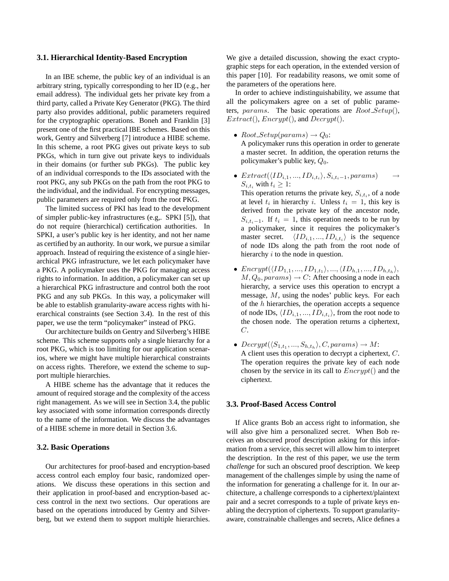#### **3.1. Hierarchical Identity-Based Encryption**

In an IBE scheme, the public key of an individual is an arbitrary string, typically corresponding to her ID (e.g., her email address). The individual gets her private key from a third party, called a Private Key Generator (PKG). The third party also provides additional, public parameters required for the cryptographic operations. Boneh and Franklin [3] present one of the first practical IBE schemes. Based on this work, Gentry and Silverberg [7] introduce a HIBE scheme. In this scheme, a root PKG gives out private keys to sub PKGs, which in turn give out private keys to individuals in their domains (or further sub PKGs). The public key of an individual corresponds to the IDs associated with the root PKG, any sub PKGs on the path from the root PKG to the individual, and the individual. For encrypting messages, public parameters are required only from the root PKG.

The limited success of PKI has lead to the development of simpler public-key infrastructures (e.g,. SPKI [5]), that do not require (hierarchical) certification authorities. In SPKI, a user's public key is her identity, and not her name as certified by an authority. In our work, we pursue a similar approach. Instead of requiring the existence of a single hierarchical PKG infrastructure, we let each policymaker have a PKG. A policymaker uses the PKG for managing access rights to information. In addition, a policymaker can set up a hierarchical PKG infrastructure and control both the root PKG and any sub PKGs. In this way, a policymaker will be able to establish granularity-aware access rights with hierarchical constraints (see Section 3.4). In the rest of this paper, we use the term "policymaker" instead of PKG.

Our architecture builds on Gentry and Silverberg's HIBE scheme. This scheme supports only a single hierarchy for a root PKG, which is too limiting for our application scenarios, where we might have multiple hierarchical constraints on access rights. Therefore, we extend the scheme to support multiple hierarchies.

A HIBE scheme has the advantage that it reduces the amount of required storage and the complexity of the access right management. As we will see in Section 3.4, the public key associated with some information corresponds directly to the name of the information. We discuss the advantages of a HIBE scheme in more detail in Section 3.6.

### **3.2. Basic Operations**

Our architectures for proof-based and encryption-based access control each employ four basic, randomized operations. We discuss these operations in this section and their application in proof-based and encryption-based access control in the next two sections. Our operations are based on the operations introduced by Gentry and Silverberg, but we extend them to support multiple hierarchies. We give a detailed discussion, showing the exact cryptographic steps for each operation, in the extended version of this paper [10]. For readability reasons, we omit some of the parameters of the operations here.

In order to achieve indistinguishability, we assume that all the policymakers agree on a set of public parameters, params. The basic operations are  $Root\_Setup($ ,  $Extract(),\,Energy(),\,and\,Decrypt()$ .

- Root Setup(params)  $\rightarrow Q_0$ : A policymaker runs this operation in order to generate a master secret. In addition, the operation returns the policymaker's public key,  $Q_0$ .
- $Extract(\langle ID_{i,1},...,ID_{i,t_i}\rangle,S_{i,t_i-1},params) \longrightarrow$  $S_{i,t_i}$  with  $t_i \geq 1$ :
- This operation returns the private key,  $S_{i,t_i}$ , of a node at level  $t_i$  in hierarchy i. Unless  $t_i = 1$ , this key is derived from the private key of the ancestor node,  $S_{i,t_{i}-1}$ . If  $t_i = 1$ , this operation needs to be run by a policymaker, since it requires the policymaker's master secret.  $\langle ID_{i,1},..., ID_{i,t_i} \rangle$  is the sequence of node IDs along the path from the root node of hierarchy  $i$  to the node in question.
- $Energy({\langle ID_{1,1},...,ID_{1,t_1}\rangle}, ..., {\langle ID_{h,1},...,ID_{h,t_h}\rangle},$  $M, Q_0, params) \rightarrow C$ : After choosing a node in each hierarchy, a service uses this operation to encrypt a message, M, using the nodes' public keys. For each of the  $h$  hierarchies, the operation accepts a sequence of node IDs,  $\langle ID_{i,1},..., ID_{i,t_i} \rangle$ , from the root node to the chosen node. The operation returns a ciphertext,  $C$ .
- $Decrypt(\langle S_{1,t_1},...,S_{h,t_h}\rangle, C,params) \rightarrow M:$ A client uses this operation to decrypt a ciphertext, C. The operation requires the private key of each node chosen by the service in its call to  $\text{Encrypt}()$  and the ciphertext.

#### **3.3. Proof-Based Access Control**

If Alice grants Bob an access right to information, she will also give him a personalized secret. When Bob receives an obscured proof description asking for this information from a service, this secret will allow him to interpret the description. In the rest of this paper, we use the term *challenge* for such an obscured proof description. We keep management of the challenges simple by using the name of the information for generating a challenge for it. In our architecture, a challenge corresponds to a ciphertext/plaintext pair and a secret corresponds to a tuple of private keys enabling the decryption of ciphertexts. To support granularityaware, constrainable challenges and secrets, Alice defines a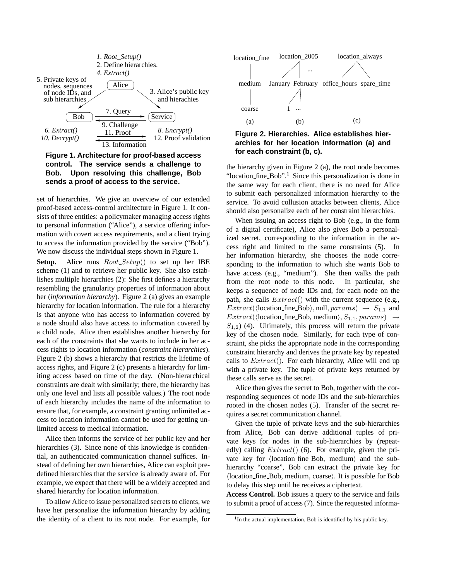

# **Figure 1. Architecture for proof-based access control. The service sends a challenge to Bob. Upon resolving this challenge, Bob sends a proof of access to the service.**

set of hierarchies. We give an overview of our extended proof-based access-control architecture in Figure 1. It consists of three entities: a policymaker managing access rights to personal information ("Alice"), a service offering information with covert access requirements, and a client trying to access the information provided by the service ("Bob"). We now discuss the individual steps shown in Figure 1.

Setup. Alice runs  $Root\_Setup()$  to set up her IBE scheme (1) and to retrieve her public key. She also establishes multiple hierarchies (2): She first defines a hierarchy resembling the granularity properties of information about her (*information hierarchy*). Figure 2 (a) gives an example hierarchy for location information. The rule for a hierarchy is that anyone who has access to information covered by a node should also have access to information covered by a child node. Alice then establishes another hierarchy for each of the constraints that she wants to include in her access rights to location information (*constraint hierarchies*). Figure 2 (b) shows a hierarchy that restricts the lifetime of access rights, and Figure 2 (c) presents a hierarchy for limiting access based on time of the day. (Non-hierarchical constraints are dealt with similarly; there, the hierarchy has only one level and lists all possible values.) The root node of each hierarchy includes the name of the information to ensure that, for example, a constraint granting unlimited access to location information cannot be used for getting unlimited access to medical information.

Alice then informs the service of her public key and her hierarchies (3). Since none of this knowledge is confidential, an authenticated communication channel suffices. Instead of defining her own hierarchies, Alice can exploit predefined hierarchies that the service is already aware of. For example, we expect that there will be a widely accepted and shared hierarchy for location information.

To allow Alice to issue personalized secrets to clients, we have her personalize the information hierarchy by adding the identity of a client to its root node. For example, for



**Figure 2. Hierarchies. Alice establishes hierarchies for her location information (a) and for each constraint (b, c).**

the hierarchy given in Figure 2 (a), the root node becomes "location fine Bob".<sup>1</sup> Since this personalization is done in the same way for each client, there is no need for Alice to submit each personalized information hierarchy to the service. To avoid collusion attacks between clients, Alice should also personalize each of her constraint hierarchies.

When issuing an access right to Bob (e.g., in the form of a digital certificate), Alice also gives Bob a personalized secret, corresponding to the information in the access right and limited to the same constraints (5). In her information hierarchy, she chooses the node corresponding to the information to which she wants Bob to have access (e.g., "medium"). She then walks the path from the root node to this node. In particular, she keeps a sequence of node IDs and, for each node on the path, she calls  $Extract()$  with the current sequence (e.g.,  $Extract(\langle location\_fine\_Bob\rangle, null, params) \rightarrow S_{1,1}$  and  $Extract(\langle location\_fine\_Bob, medium\rangle, S_{1,1}, params) \rightarrow$  $S_{1,2}$ ) (4). Ultimately, this process will return the private key of the chosen node. Similarly, for each type of constraint, she picks the appropriate node in the corresponding constraint hierarchy and derives the private key by repeated calls to  $Extract()$ . For each hierarchy, Alice will end up with a private key. The tuple of private keys returned by these calls serve as the secret.

Alice then gives the secret to Bob, together with the corresponding sequences of node IDs and the sub-hierarchies rooted in the chosen nodes (5). Transfer of the secret requires a secret communication channel.

Given the tuple of private keys and the sub-hierarchies from Alice, Bob can derive additional tuples of private keys for nodes in the sub-hierarchies by (repeatedly) calling  $Extract()$  (6). For example, given the private key for  $\langle$  location fine Bob, medium $\rangle$  and the subhierarchy "coarse", Bob can extract the private key for  $\langle$ location fine Bob, medium, coarse $\rangle$ . It is possible for Bob to delay this step until he receives a ciphertext.

**Access Control.** Bob issues a query to the service and fails to submit a proof of access (7). Since the requested informa-

<sup>&</sup>lt;sup>1</sup>In the actual implementation, Bob is identified by his public key.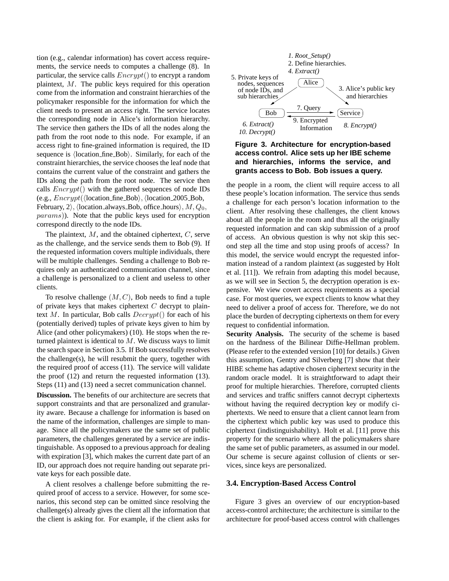tion (e.g., calendar information) has covert access requirements, the service needs to computes a challenge (8). In particular, the service calls  $\text{Encrypt}()$  to encrypt a random plaintext, M. The public keys required for this operation come from the information and constraint hierarchies of the policymaker responsible for the information for which the client needs to present an access right. The service locates the corresponding node in Alice's information hierarchy. The service then gathers the IDs of all the nodes along the path from the root node to this node. For example, if an access right to fine-grained information is required, the ID sequence is  $\langle$ location fine Bob $\rangle$ . Similarly, for each of the constraint hierarchies, the service chooses the leaf node that contains the current value of the constraint and gathers the IDs along the path from the root node. The service then calls  $\text{Encrypt}()$  with the gathered sequences of node IDs (e.g.,  $\text{Encrypt}(\langle \text{location\_fine\_Bob} \rangle, \langle \text{location\_2005\_Bob},$ February, 2), (location always Bob, office hours),  $M, Q_0$ , params)). Note that the public keys used for encryption correspond directly to the node IDs.

The plaintext,  $M$ , and the obtained ciphertext,  $C$ , serve as the challenge, and the service sends them to Bob (9). If the requested information covers multiple individuals, there will be multiple challenges. Sending a challenge to Bob requires only an authenticated communication channel, since a challenge is personalized to a client and useless to other clients.

To resolve challenge  $(M, C)$ , Bob needs to find a tuple of private keys that makes ciphertext  $C$  decrypt to plaintext M. In particular, Bob calls  $Decrypt()$  for each of his (potentially derived) tuples of private keys given to him by Alice (and other policymakers) (10). He stops when the returned plaintext is identical to  $M$ . We discuss ways to limit the search space in Section 3.5. If Bob successfully resolves the challenge(s), he will resubmit the query, together with the required proof of access (11). The service will validate the proof (12) and return the requested information (13). Steps (11) and (13) need a secret communication channel.

**Discussion.** The benefits of our architecture are secrets that support constraints and that are personalized and granularity aware. Because a challenge for information is based on the name of the information, challenges are simple to manage. Since all the policymakers use the same set of public parameters, the challenges generated by a service are indistinguishable. As opposed to a previous approach for dealing with expiration [3], which makes the current date part of an ID, our approach does not require handing out separate private keys for each possible date.

A client resolves a challenge before submitting the required proof of access to a service. However, for some scenarios, this second step can be omitted since resolving the challenge(s) already gives the client all the information that the client is asking for. For example, if the client asks for



**Figure 3. Architecture for encryption-based access control. Alice sets up her IBE scheme and hierarchies, informs the service, and grants access to Bob. Bob issues a query.**

the people in a room, the client will require access to all these people's location information. The service thus sends a challenge for each person's location information to the client. After resolving these challenges, the client knows about all the people in the room and thus all the originally requested information and can skip submission of a proof of access. An obvious question is why not skip this second step all the time and stop using proofs of access? In this model, the service would encrypt the requested information instead of a random plaintext (as suggested by Holt et al. [11]). We refrain from adapting this model because, as we will see in Section 5, the decryption operation is expensive. We view covert access requirements as a special case. For most queries, we expect clients to know what they need to deliver a proof of access for. Therefore, we do not place the burden of decrypting ciphertexts on them for every request to confidential information.

**Security Analysis.** The security of the scheme is based on the hardness of the Bilinear Diffie-Hellman problem. (Please refer to the extended version [10] for details.) Given this assumption, Gentry and Silverberg [7] show that their HIBE scheme has adaptive chosen ciphertext security in the random oracle model. It is straightforward to adapt their proof for multiple hierarchies. Therefore, corrupted clients and services and traffic sniffers cannot decrypt ciphertexts without having the required decryption key or modify ciphertexts. We need to ensure that a client cannot learn from the ciphertext which public key was used to produce this ciphertext (indistinguishability). Holt et al. [11] prove this property for the scenario where all the policymakers share the same set of public parameters, as assumed in our model. Our scheme is secure against collusion of clients or services, since keys are personalized.

#### **3.4. Encryption-Based Access Control**

Figure 3 gives an overview of our encryption-based access-control architecture; the architecture is similar to the architecture for proof-based access control with challenges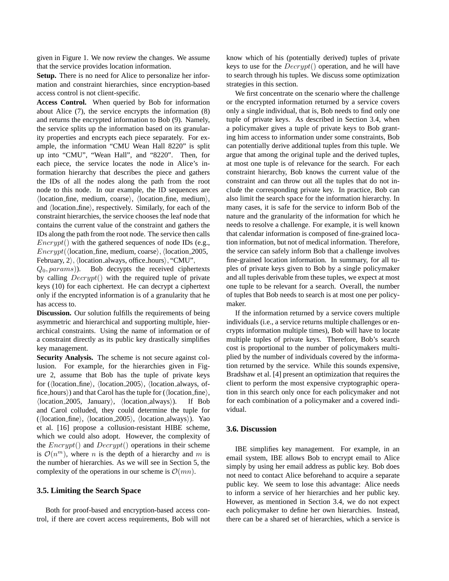given in Figure 1. We now review the changes. We assume that the service provides location information.

**Setup.** There is no need for Alice to personalize her information and constraint hierarchies, since encryption-based access control is not client-specific.

**Access Control.** When queried by Bob for information about Alice (7), the service encrypts the information (8) and returns the encrypted information to Bob (9). Namely, the service splits up the information based on its granularity properties and encrypts each piece separately. For example, the information "CMU Wean Hall 8220" is split up into "CMU", "Wean Hall", and "8220". Then, for each piece, the service locates the node in Alice's information hierarchy that describes the piece and gathers the IDs of all the nodes along the path from the root node to this node. In our example, the ID sequences are  $\langle$ location fine, medium, coarse $\rangle$ ,  $\langle$ location fine, medium $\rangle$ , and  $\langle$ location fine $\rangle$ , respectively. Similarly, for each of the constraint hierarchies, the service chooses the leaf node that contains the current value of the constraint and gathers the IDs along the path from the root node. The service then calls  $\text{Encrypt}()$  with the gathered sequences of node IDs (e.g.,  $\text{Encrypt}(\langle \text{location\_fine}, \text{medium}, \text{coarse} \rangle, \langle \text{location\_2005}, \rangle)$ February,  $2$ ),  $\langle$ location always, office hours $\rangle$ , "CMU",

 $(Q_0, \text{params})$ ). Bob decrypts the received ciphertexts by calling  $Decrypt()$  with the required tuple of private keys (10) for each ciphertext. He can decrypt a ciphertext only if the encrypted information is of a granularity that he has access to.

**Discussion.** Our solution fulfills the requirements of being asymmetric and hierarchical and supporting multiple, hierarchical constraints. Using the name of information or of a constraint directly as its public key drastically simplifies key management.

**Security Analysis.** The scheme is not secure against collusion. For example, for the hierarchies given in Figure 2, assume that Bob has the tuple of private keys for ( $\langle$ location fine $\rangle$ ,  $\langle$ location 2005 $\rangle$ ,  $\langle$ location always, office hours)) and that Carol has the tuple for ( $\langle$ location fine $\rangle$ ,  $\langle$ location 2005, January $\rangle$ ,  $\langle$ location always $\rangle$ ). If Bob and Carol colluded, they could determine the tuple for  $(\langle location\_fine \rangle, \langle location\_2005 \rangle, \langle location\_always \rangle).$  Yao et al. [16] propose a collusion-resistant HIBE scheme, which we could also adopt. However, the complexity of the  $\text{Encrypt}()$  and  $\text{Decrypt}()$  operations in their scheme is  $\mathcal{O}(n^m)$ , where *n* is the depth of a hierarchy and *m* is the number of hierarchies. As we will see in Section 5, the complexity of the operations in our scheme is  $\mathcal{O}(mn)$ .

#### **3.5. Limiting the Search Space**

Both for proof-based and encryption-based access control, if there are covert access requirements, Bob will not

know which of his (potentially derived) tuples of private keys to use for the  $Decrypt()$  operation, and he will have to search through his tuples. We discuss some optimization strategies in this section.

We first concentrate on the scenario where the challenge or the encrypted information returned by a service covers only a single individual, that is, Bob needs to find only one tuple of private keys. As described in Section 3.4, when a policymaker gives a tuple of private keys to Bob granting him access to information under some constraints, Bob can potentially derive additional tuples from this tuple. We argue that among the original tuple and the derived tuples, at most one tuple is of relevance for the search. For each constraint hierarchy, Bob knows the current value of the constraint and can throw out all the tuples that do not include the corresponding private key. In practice, Bob can also limit the search space for the information hierarchy. In many cases, it is safe for the service to inform Bob of the nature and the granularity of the information for which he needs to resolve a challenge. For example, it is well known that calendar information is composed of fine-grained location information, but not of medical information. Therefore, the service can safely inform Bob that a challenge involves fine-grained location information. In summary, for all tuples of private keys given to Bob by a single policymaker and all tuples derivable from these tuples, we expect at most one tuple to be relevant for a search. Overall, the number of tuples that Bob needs to search is at most one per policymaker.

If the information returned by a service covers multiple individuals (i.e., a service returns multiple challenges or encrypts information multiple times), Bob will have to locate multiple tuples of private keys. Therefore, Bob's search cost is proportional to the number of policymakers multiplied by the number of individuals covered by the information returned by the service. While this sounds expensive, Bradshaw et al. [4] present an optimization that requires the client to perform the most expensive cryptographic operation in this search only once for each policymaker and not for each combination of a policymaker and a covered individual.

### **3.6. Discussion**

IBE simplifies key management. For example, in an email system, IBE allows Bob to encrypt email to Alice simply by using her email address as public key. Bob does not need to contact Alice beforehand to acquire a separate public key. We seem to lose this advantage: Alice needs to inform a service of her hierarchies and her public key. However, as mentioned in Section 3.4, we do not expect each policymaker to define her own hierarchies. Instead, there can be a shared set of hierarchies, which a service is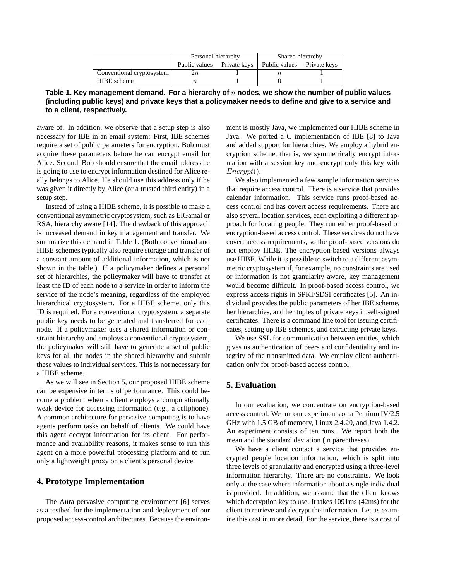|                           | Personal hierarchy         |  | Shared hierarchy           |  |
|---------------------------|----------------------------|--|----------------------------|--|
|                           | Public values Private keys |  | Public values Private keys |  |
| Conventional cryptosystem | 2n                         |  |                            |  |
| HIBE scheme               |                            |  |                            |  |

# **Table 1. Key management demand. For a hierarchy of** n **nodes, we show the number of public values (including public keys) and private keys that a policymaker needs to define and give to a service and to a client, respectively.**

aware of. In addition, we observe that a setup step is also necessary for IBE in an email system: First, IBE schemes require a set of public parameters for encryption. Bob must acquire these parameters before he can encrypt email for Alice. Second, Bob should ensure that the email address he is going to use to encrypt information destined for Alice really belongs to Alice. He should use this address only if he was given it directly by Alice (or a trusted third entity) in a setup step.

Instead of using a HIBE scheme, it is possible to make a conventional asymmetric cryptosystem, such as ElGamal or RSA, hierarchy aware [14]. The drawback of this approach is increased demand in key management and transfer. We summarize this demand in Table 1. (Both conventional and HIBE schemes typically also require storage and transfer of a constant amount of additional information, which is not shown in the table.) If a policymaker defines a personal set of hierarchies, the policymaker will have to transfer at least the ID of each node to a service in order to inform the service of the node's meaning, regardless of the employed hierarchical cryptosystem. For a HIBE scheme, only this ID is required. For a conventional cryptosystem, a separate public key needs to be generated and transferred for each node. If a policymaker uses a shared information or constraint hierarchy and employs a conventional cryptosystem, the policymaker will still have to generate a set of public keys for all the nodes in the shared hierarchy and submit these values to individual services. This is not necessary for a HIBE scheme.

As we will see in Section 5, our proposed HIBE scheme can be expensive in terms of performance. This could become a problem when a client employs a computationally weak device for accessing information (e.g., a cellphone). A common architecture for pervasive computing is to have agents perform tasks on behalf of clients. We could have this agent decrypt information for its client. For performance and availability reasons, it makes sense to run this agent on a more powerful processing platform and to run only a lightweight proxy on a client's personal device.

# **4. Prototype Implementation**

The Aura pervasive computing environment [6] serves as a testbed for the implementation and deployment of our proposed access-control architectures. Because the environment is mostly Java, we implemented our HIBE scheme in Java. We ported a C implementation of IBE [8] to Java and added support for hierarchies. We employ a hybrid encryption scheme, that is, we symmetrically encrypt information with a session key and encrypt only this key with  $\text{Encrypt}()$ .

We also implemented a few sample information services that require access control. There is a service that provides calendar information. This service runs proof-based access control and has covert access requirements. There are also several location services, each exploiting a different approach for locating people. They run either proof-based or encryption-based access control. These services do not have covert access requirements, so the proof-based versions do not employ HIBE. The encryption-based versions always use HIBE. While it is possible to switch to a different asymmetric cryptosystem if, for example, no constraints are used or information is not granularity aware, key management would become difficult. In proof-based access control, we express access rights in SPKI/SDSI certificates [5]. An individual provides the public parameters of her IBE scheme, her hierarchies, and her tuples of private keys in self-signed certificates. There is a command line tool for issuing certificates, setting up IBE schemes, and extracting private keys.

We use SSL for communication between entities, which gives us authentication of peers and confidentiality and integrity of the transmitted data. We employ client authentication only for proof-based access control.

# **5. Evaluation**

In our evaluation, we concentrate on encryption-based access control. We run our experiments on a Pentium IV/2.5 GHz with 1.5 GB of memory, Linux 2.4.20, and Java 1.4.2. An experiment consists of ten runs. We report both the mean and the standard deviation (in parentheses).

We have a client contact a service that provides encrypted people location information, which is split into three levels of granularity and encrypted using a three-level information hierarchy. There are no constraints. We look only at the case where information about a single individual is provided. In addition, we assume that the client knows which decryption key to use. It takes 1091ms (42ms) for the client to retrieve and decrypt the information. Let us examine this cost in more detail. For the service, there is a cost of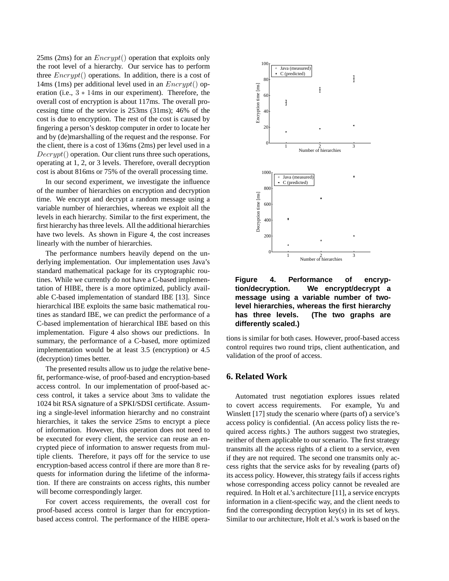25ms (2ms) for an  $\text{Encrypt}()$  operation that exploits only the root level of a hierarchy. Our service has to perform three  $\text{Encrypt}()$  operations. In addition, there is a cost of 14ms (1ms) per additional level used in an  $\text{Encrypt}()$  operation (i.e.,  $3 * 14$ ms in our experiment). Therefore, the overall cost of encryption is about 117ms. The overall processing time of the service is 253ms (31ms); 46% of the cost is due to encryption. The rest of the cost is caused by fingering a person's desktop computer in order to locate her and by (de)marshalling of the request and the response. For the client, there is a cost of 136ms (2ms) per level used in a  $Decrypt()$  operation. Our client runs three such operations, operating at 1, 2, or 3 levels. Therefore, overall decryption cost is about 816ms or 75% of the overall processing time.

In our second experiment, we investigate the influence of the number of hierarchies on encryption and decryption time. We encrypt and decrypt a random message using a variable number of hierarchies, whereas we exploit all the levels in each hierarchy. Similar to the first experiment, the first hierarchy has three levels. All the additional hierarchies have two levels. As shown in Figure 4, the cost increases linearly with the number of hierarchies.

The performance numbers heavily depend on the underlying implementation. Our implementation uses Java's standard mathematical package for its cryptographic routines. While we currently do not have a C-based implementation of HIBE, there is a more optimized, publicly available C-based implementation of standard IBE [13]. Since hierarchical IBE exploits the same basic mathematical routines as standard IBE, we can predict the performance of a C-based implementation of hierarchical IBE based on this implementation. Figure 4 also shows our predictions. In summary, the performance of a C-based, more optimized implementation would be at least 3.5 (encryption) or 4.5 (decryption) times better.

The presented results allow us to judge the relative benefit, performance-wise, of proof-based and encryption-based access control. In our implementation of proof-based access control, it takes a service about 3ms to validate the 1024 bit RSA signature of a SPKI/SDSI certificate. Assuming a single-level information hierarchy and no constraint hierarchies, it takes the service 25ms to encrypt a piece of information. However, this operation does not need to be executed for every client, the service can reuse an encrypted piece of information to answer requests from multiple clients. Therefore, it pays off for the service to use encryption-based access control if there are more than 8 requests for information during the lifetime of the information. If there are constraints on access rights, this number will become correspondingly larger.

For covert access requirements, the overall cost for proof-based access control is larger than for encryptionbased access control. The performance of the HIBE opera-



**Figure 4. Performance of encryption/decryption. We encrypt/decrypt a message using a variable number of twolevel hierarchies, whereas the first hierarchy has three levels. (The two graphs are differently scaled.)**

tions is similar for both cases. However, proof-based access control requires two round trips, client authentication, and validation of the proof of access.

# **6. Related Work**

Automated trust negotiation explores issues related to covert access requirements. For example, Yu and Winslett [17] study the scenario where (parts of) a service's access policy is confidential. (An access policy lists the required access rights.) The authors suggest two strategies, neither of them applicable to our scenario. The first strategy transmits all the access rights of a client to a service, even if they are not required. The second one transmits only access rights that the service asks for by revealing (parts of) its access policy. However, this strategy fails if access rights whose corresponding access policy cannot be revealed are required. In Holt et al.'s architecture [11], a service encrypts information in a client-specific way, and the client needs to find the corresponding decryption key(s) in its set of keys. Similar to our architecture, Holt et al.'s work is based on the